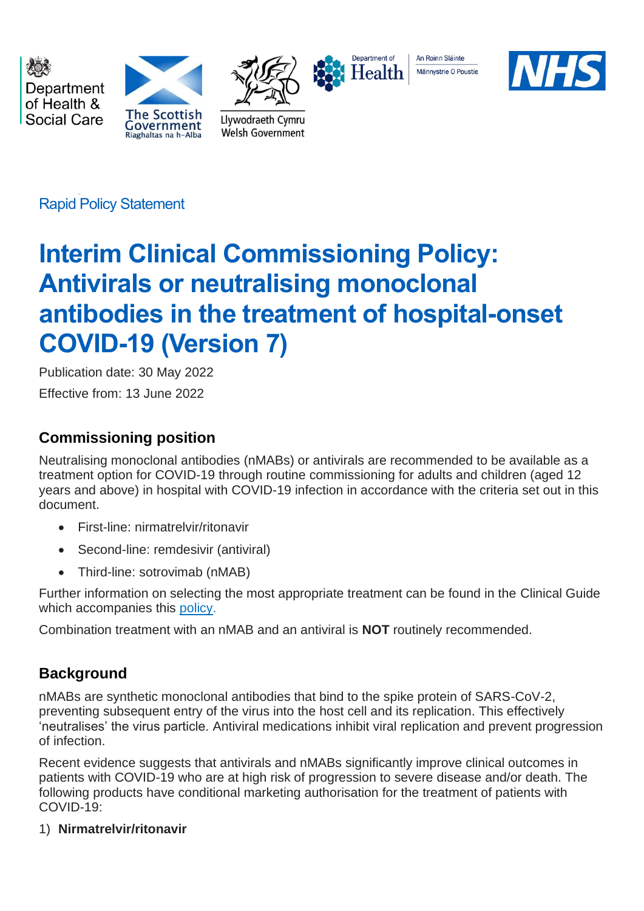Department of Health & Social Care





Llywodraeth Cymru

Welsh Government



An Roinn Sláinte Männystrie O Poustie



Rapid Policy Statement

# **Interim Clinical Commissioning Policy: Antivirals or neutralising monoclonal antibodies in the treatment of hospital-onset COVID-19 (Version 7)**

Publication date: 30 May 2022 Effective from: 13 June 2022

# **Commissioning position**

Neutralising monoclonal antibodies (nMABs) or antivirals are recommended to be available as a treatment option for COVID-19 through routine commissioning for adults and children (aged 12 years and above) in hospital with COVID-19 infection in accordance with the criteria set out in this document.

- First-line: nirmatrelvir/ritonavir
- Second-line: remdesivir (antiviral)
- Third-line: sotrovimab (nMAB)

Further information on selecting the most appropriate treatment can be found in the Clinical Guide which accompanies this [policy.](https://www.cas.mhra.gov.uk/ViewandAcknowledgment/ViewAlert.aspx?AlertID=103207)

Combination treatment with an nMAB and an antiviral is **NOT** routinely recommended.

# **Background**

nMABs are synthetic monoclonal antibodies that bind to the spike protein of SARS-CoV-2, preventing subsequent entry of the virus into the host cell and its replication. This effectively 'neutralises' the virus particle. Antiviral medications inhibit viral replication and prevent progression of infection.

Recent evidence suggests that antivirals and nMABs significantly improve clinical outcomes in patients with COVID-19 who are at high risk of progression to severe disease and/or death. The following products have conditional marketing authorisation for the treatment of patients with COVID-19:

# 1) **Nirmatrelvir/ritonavir**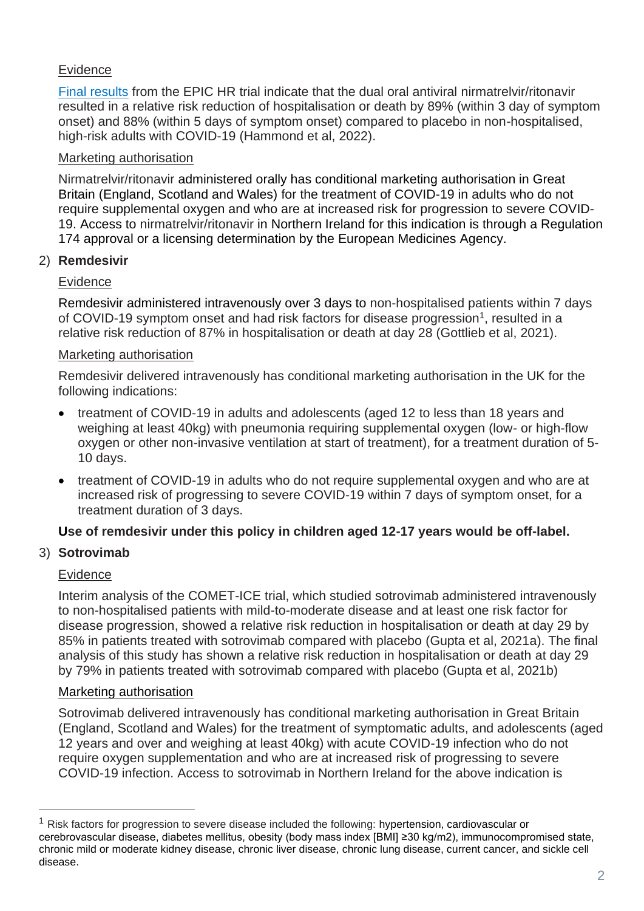# **Evidence**

[Final results](https://www.nejm.org/doi/full/10.1056/NEJMoa2118542?query=featured_home) from the EPIC HR trial indicate that the dual oral antiviral nirmatrelvir/ritonavir resulted in a relative risk reduction of hospitalisation or death by 89% (within 3 day of symptom onset) and 88% (within 5 days of symptom onset) compared to placebo in non-hospitalised, high-risk adults with COVID-19 (Hammond et al, 2022).

## Marketing authorisation

Nirmatrelvir/ritonavir administered orally has conditional marketing authorisation in Great Britain (England, Scotland and Wales) for the treatment of COVID-19 in adults who do not require supplemental oxygen and who are at increased risk for progression to severe COVID-19. Access to nirmatrelvir/ritonavir in Northern Ireland for this indication is through a Regulation 174 approval or a licensing determination by the European Medicines Agency.

# 2) **Remdesivir**

### Evidence

Remdesivir administered intravenously over 3 days to non-hospitalised patients within 7 days of COVID-19 symptom onset and had risk factors for disease progression<sup>1</sup>, resulted in a relative risk reduction of 87% in hospitalisation or death at day 28 (Gottlieb et al, 2021).

### Marketing authorisation

Remdesivir delivered intravenously has conditional marketing authorisation in the UK for the following indications:

- treatment of COVID-19 in adults and adolescents (aged 12 to less than 18 years and weighing at least 40kg) with pneumonia requiring supplemental oxygen (low- or high-flow oxygen or other non-invasive ventilation at start of treatment), for a treatment duration of 5- 10 days.
- treatment of COVID-19 in adults who do not require supplemental oxygen and who are at increased risk of progressing to severe COVID-19 within 7 days of symptom onset, for a treatment duration of 3 days.

# **Use of remdesivir under this policy in children aged 12-17 years would be off-label.**

# 3) **Sotrovimab**

#### **Evidence**

Interim analysis of the COMET-ICE trial, which studied sotrovimab administered intravenously to non-hospitalised patients with mild-to-moderate disease and at least one risk factor for disease progression, showed a relative risk reduction in hospitalisation or death at day 29 by 85% in patients treated with sotrovimab compared with placebo (Gupta et al, 2021a). The final analysis of this study has shown a relative risk reduction in hospitalisation or death at day 29 by 79% in patients treated with sotrovimab compared with placebo (Gupta et al, 2021b)

#### Marketing authorisation

Sotrovimab delivered intravenously has conditional marketing authorisation in Great Britain (England, Scotland and Wales) for the treatment of symptomatic adults, and adolescents (aged 12 years and over and weighing at least 40kg) with acute COVID-19 infection who do not require oxygen supplementation and who are at increased risk of progressing to severe COVID-19 infection. Access to sotrovimab in Northern Ireland for the above indication is

<sup>1</sup> Risk factors for progression to severe disease included the following: hypertension, cardiovascular or cerebrovascular disease, diabetes mellitus, obesity (body mass index [BMI] ≥30 kg/m2), immunocompromised state, chronic mild or moderate kidney disease, chronic liver disease, chronic lung disease, current cancer, and sickle cell disease.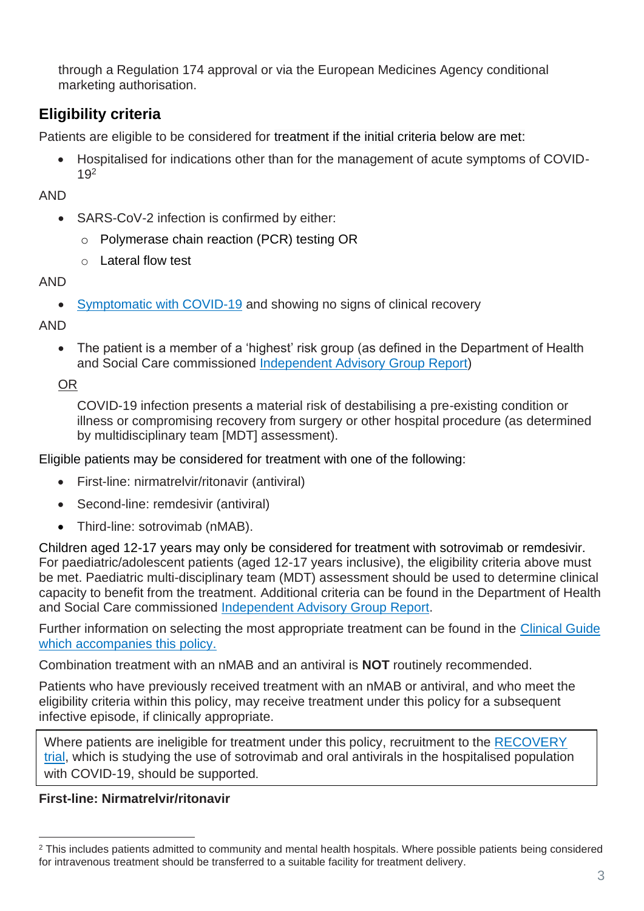through a Regulation 174 approval or via the European Medicines Agency conditional marketing authorisation.

# **Eligibility criteria**

Patients are eligible to be considered for treatment if the initial criteria below are met:

• Hospitalised for indications other than for the management of acute symptoms of COVID-19<sup>2</sup>

AND

- SARS-CoV-2 infection is confirmed by either:
	- o Polymerase chain reaction (PCR) testing OR
	- o Lateral flow test

AND

• [Symptomatic with COVID-19](https://www.nhs.uk/conditions/coronavirus-covid-19/symptoms/) and showing no signs of clinical recovery

AND

• The patient is a member of a 'highest' risk group (as defined in the Department of Health and Social Care commissioned [Independent Advisory Group Report\)](https://www.gov.uk/government/publications/higher-risk-patients-eligible-for-covid-19-treatments-independent-advisory-group-report)

OR

COVID-19 infection presents a material risk of destabilising a pre-existing condition or illness or compromising recovery from surgery or other hospital procedure (as determined by multidisciplinary team [MDT] assessment).

Eligible patients may be considered for treatment with one of the following:

- First-line: nirmatrelvir/ritonavir (antiviral)
- Second-line: remdesivir (antiviral)
- Third-line: sotrovimab (nMAB).

Children aged 12-17 years may only be considered for treatment with sotrovimab or remdesivir. For paediatric/adolescent patients (aged 12-17 years inclusive), the eligibility criteria above must be met. Paediatric multi-disciplinary team (MDT) assessment should be used to determine clinical capacity to benefit from the treatment. Additional criteria can be found in the Department of Health and Social Care commissioned [Independent Advisory Group Report.](https://www.gov.uk/government/publications/higher-risk-patients-eligible-for-covid-19-treatments-independent-advisory-group-report)

Further information on selecting the most appropriate treatment can be found in the [Clinical Guide](https://www.cas.mhra.gov.uk/ViewandAcknowledgment/ViewAlert.aspx?AlertID=103207)  [which accompanies this](https://www.cas.mhra.gov.uk/ViewandAcknowledgment/ViewAlert.aspx?AlertID=103207) policy.

Combination treatment with an nMAB and an antiviral is **NOT** routinely recommended.

Patients who have previously received treatment with an nMAB or antiviral, and who meet the eligibility criteria within this policy, may receive treatment under this policy for a subsequent infective episode, if clinically appropriate.

Where patients are ineligible for treatment under this policy, recruitment to the [RECOVERY](https://www.recoverytrial.net/)  [trial,](https://www.recoverytrial.net/) which is studying the use of sotrovimab and oral antivirals in the hospitalised population with COVID-19, should be supported.

# **First-line: Nirmatrelvir/ritonavir**

<sup>&</sup>lt;sup>2</sup> This includes patients admitted to community and mental health hospitals. Where possible patients being considered for intravenous treatment should be transferred to a suitable facility for treatment delivery.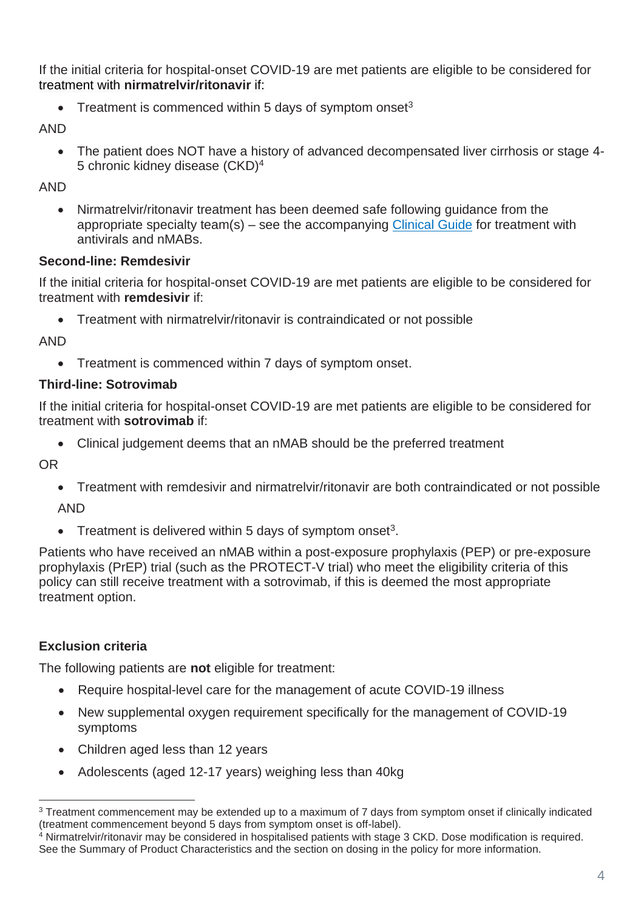If the initial criteria for hospital-onset COVID-19 are met patients are eligible to be considered for treatment with **nirmatrelvir/ritonavir** if:

• Treatment is commenced within 5 days of symptom onset $3$ 

AND

• The patient does NOT have a history of advanced decompensated liver cirrhosis or stage 4- 5 chronic kidney disease (CKD)<sup>4</sup>

AND

• Nirmatrelvir/ritonavir treatment has been deemed safe following guidance from the appropriate specialty team(s) – see the accompanying [Clinical Guide](https://www.cas.mhra.gov.uk/ViewandAcknowledgment/ViewAlert.aspx?AlertID=103207) for treatment with antivirals and nMABs.

### **Second-line: Remdesivir**

If the initial criteria for hospital-onset COVID-19 are met patients are eligible to be considered for treatment with **remdesivir** if:

• Treatment with nirmatrelvir/ritonavir is contraindicated or not possible

AND

• Treatment is commenced within 7 days of symptom onset.

### **Third-line: Sotrovimab**

If the initial criteria for hospital-onset COVID-19 are met patients are eligible to be considered for treatment with **sotrovimab** if:

• Clinical judgement deems that an nMAB should be the preferred treatment

OR

• Treatment with remdesivir and nirmatrelvir/ritonavir are both contraindicated or not possible

AND

• Treatment is delivered within 5 days of symptom onset<sup>3</sup>.

Patients who have received an nMAB within a post-exposure prophylaxis (PEP) or pre-exposure prophylaxis (PrEP) trial (such as the PROTECT-V trial) who meet the eligibility criteria of this policy can still receive treatment with a sotrovimab, if this is deemed the most appropriate treatment option.

# **Exclusion criteria**

The following patients are **not** eligible for treatment:

- Require hospital-level care for the management of acute COVID-19 illness
- New supplemental oxygen requirement specifically for the management of COVID-19 symptoms
- Children aged less than 12 years
- Adolescents (aged 12-17 years) weighing less than 40kg

<sup>3</sup> Treatment commencement may be extended up to a maximum of 7 days from symptom onset if clinically indicated (treatment commencement beyond 5 days from symptom onset is off-label).

<sup>4</sup> Nirmatrelvir/ritonavir may be considered in hospitalised patients with stage 3 CKD. Dose modification is required. See the Summary of Product Characteristics and the section on dosing in the policy for more information.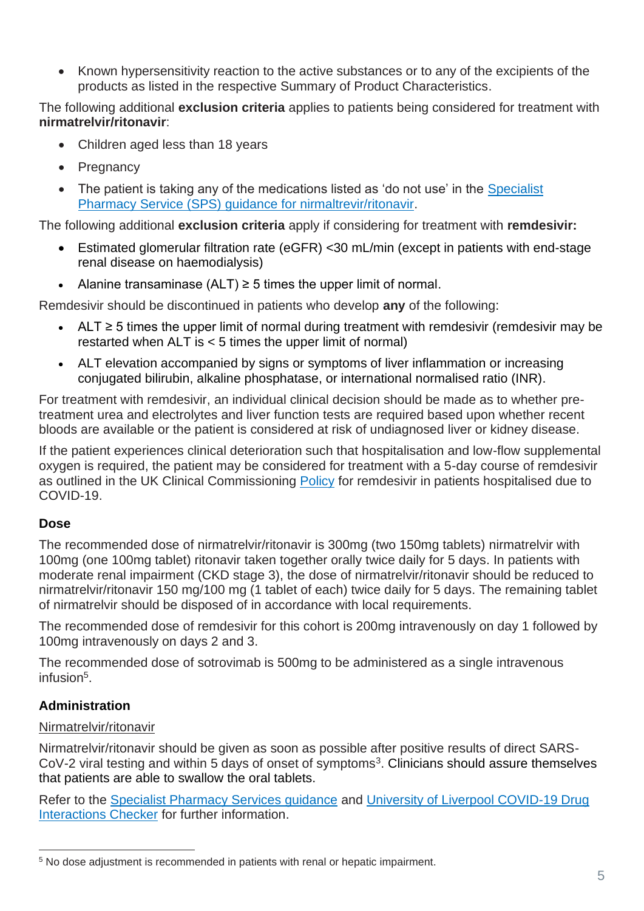• Known hypersensitivity reaction to the active substances or to any of the excipients of the products as listed in the respective Summary of Product Characteristics.

The following additional **exclusion criteria** applies to patients being considered for treatment with **nirmatrelvir/ritonavir**:

- Children aged less than 18 years
- Pregnancy
- The patient is taking any of the medications listed as 'do not use' in the Specialist [Pharmacy Service \(SPS\) guidance for nirmaltrevir/ritonavir.](https://www.sps.nhs.uk/home/guidance/covid-19-treatments/oral-antivirals/)

The following additional **exclusion criteria** apply if considering for treatment with **remdesivir:** 

- Estimated glomerular filtration rate (eGFR) <30 mL/min (except in patients with end-stage renal disease on haemodialysis)
- Alanine transaminase  $(ALT) \ge 5$  times the upper limit of normal.

Remdesivir should be discontinued in patients who develop **any** of the following:

- ALT ≥ 5 times the upper limit of normal during treatment with remdesivir (remdesivir may be restarted when ALT is < 5 times the upper limit of normal)
- ALT elevation accompanied by signs or symptoms of liver inflammation or increasing conjugated bilirubin, alkaline phosphatase, or international normalised ratio (INR).

For treatment with remdesivir, an individual clinical decision should be made as to whether pretreatment urea and electrolytes and liver function tests are required based upon whether recent bloods are available or the patient is considered at risk of undiagnosed liver or kidney disease.

If the patient experiences clinical deterioration such that hospitalisation and low-flow supplemental oxygen is required, the patient may be considered for treatment with a 5-day course of remdesivir as outlined in the UK Clinical Commissioning [Policy](https://www.england.nhs.uk/coronavirus/publication/interim-clinical-commissioning-policy-remdesivir-for-patients-hospitalised-due-to-covid-19-adults-and-adolescents-12-years-and-older/) for remdesivir in patients hospitalised due to COVID-19.

# **Dose**

The recommended dose of nirmatrelvir/ritonavir is 300mg (two 150mg tablets) nirmatrelvir with 100mg (one 100mg tablet) ritonavir taken together orally twice daily for 5 days. In patients with moderate renal impairment (CKD stage 3), the dose of nirmatrelvir/ritonavir should be reduced to nirmatrelvir/ritonavir 150 mg/100 mg (1 tablet of each) twice daily for 5 days. The remaining tablet of nirmatrelvir should be disposed of in accordance with local requirements.

The recommended dose of remdesivir for this cohort is 200mg intravenously on day 1 followed by 100mg intravenously on days 2 and 3.

The recommended dose of sotrovimab is 500mg to be administered as a single intravenous infusion<sup>5</sup> .

# **Administration**

#### Nirmatrelvir/ritonavir

Nirmatrelvir/ritonavir should be given as soon as possible after positive results of direct SARS- $CoV-2$  viral testing and within 5 days of onset of symptoms<sup>3</sup>. Clinicians should assure themselves that patients are able to swallow the oral tablets.

Refer to the [Specialist Pharmacy Services guidance](https://www.sps.nhs.uk/home/guidance/covid-19-treatments/oral-antivirals/) and [University of Liverpool COVID-19 Drug](https://www.covid19-druginteractions.org/checker)  [Interactions Checker](https://www.covid19-druginteractions.org/checker) for further information.

<sup>5</sup> No dose adjustment is recommended in patients with renal or hepatic impairment.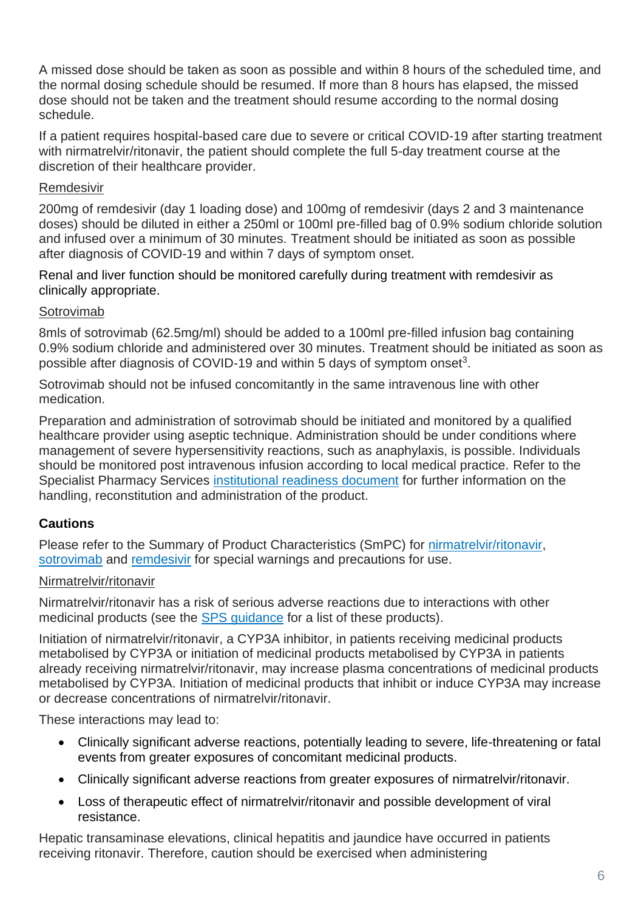A missed dose should be taken as soon as possible and within 8 hours of the scheduled time, and the normal dosing schedule should be resumed. If more than 8 hours has elapsed, the missed dose should not be taken and the treatment should resume according to the normal dosing schedule.

If a patient requires hospital-based care due to severe or critical COVID-19 after starting treatment with nirmatrelvir/ritonavir, the patient should complete the full 5-day treatment course at the discretion of their healthcare provider.

#### Remdesivir

200mg of remdesivir (day 1 loading dose) and 100mg of remdesivir (days 2 and 3 maintenance doses) should be diluted in either a 250ml or 100ml pre-filled bag of 0.9% sodium chloride solution and infused over a minimum of 30 minutes. Treatment should be initiated as soon as possible after diagnosis of COVID-19 and within 7 days of symptom onset.

Renal and liver function should be monitored carefully during treatment with remdesivir as clinically appropriate.

### **Sotrovimab**

8mls of sotrovimab (62.5mg/ml) should be added to a 100ml pre-filled infusion bag containing 0.9% sodium chloride and administered over 30 minutes. Treatment should be initiated as soon as possible after diagnosis of COVID-19 and within 5 days of symptom onset<sup>3</sup>.

Sotrovimab should not be infused concomitantly in the same intravenous line with other medication.

Preparation and administration of sotrovimab should be initiated and monitored by a qualified healthcare provider using aseptic technique. Administration should be under conditions where management of severe hypersensitivity reactions, such as anaphylaxis, is possible. Individuals should be monitored post intravenous infusion according to local medical practice. Refer to the Specialist Pharmacy Services [institutional readiness document](https://www.sps.nhs.uk/home/guidance/covid-19-treatments/neutralising-monoclonal-antibodies/sotrovimab-xevudy/) for further information on the handling, reconstitution and administration of the product.

# **Cautions**

Please refer to the Summary of Product Characteristics (SmPC) for [nirmatrelvir/ritonavir,](https://www.gov.uk/government/publications/regulatory-approval-of-paxlovid/summary-of-product-characteristics-for-paxlovid) [sotrovimab](https://www.gov.uk/government/publications/regulatory-approval-of-xevudy-sotrovimab/summary-of-product-characteristics-for-xevudy) and [remdesivir](https://www.medicines.org.uk/emc/product/11597/smpc#gref) for special warnings and precautions for use.

#### Nirmatrelvir/ritonavir

Nirmatrelvir/ritonavir has a risk of serious adverse reactions due to interactions with other medicinal products (see the [SPS guidance](https://www.sps.nhs.uk/home/guidance/covid-19-treatments/oral-antivirals/) for a list of these products).

Initiation of nirmatrelvir/ritonavir, a CYP3A inhibitor, in patients receiving medicinal products metabolised by CYP3A or initiation of medicinal products metabolised by CYP3A in patients already receiving nirmatrelvir/ritonavir, may increase plasma concentrations of medicinal products metabolised by CYP3A. Initiation of medicinal products that inhibit or induce CYP3A may increase or decrease concentrations of nirmatrelvir/ritonavir.

These interactions may lead to:

- Clinically significant adverse reactions, potentially leading to severe, life-threatening or fatal events from greater exposures of concomitant medicinal products.
- Clinically significant adverse reactions from greater exposures of nirmatrelvir/ritonavir.
- Loss of therapeutic effect of nirmatrelvir/ritonavir and possible development of viral resistance.

Hepatic transaminase elevations, clinical hepatitis and jaundice have occurred in patients receiving ritonavir. Therefore, caution should be exercised when administering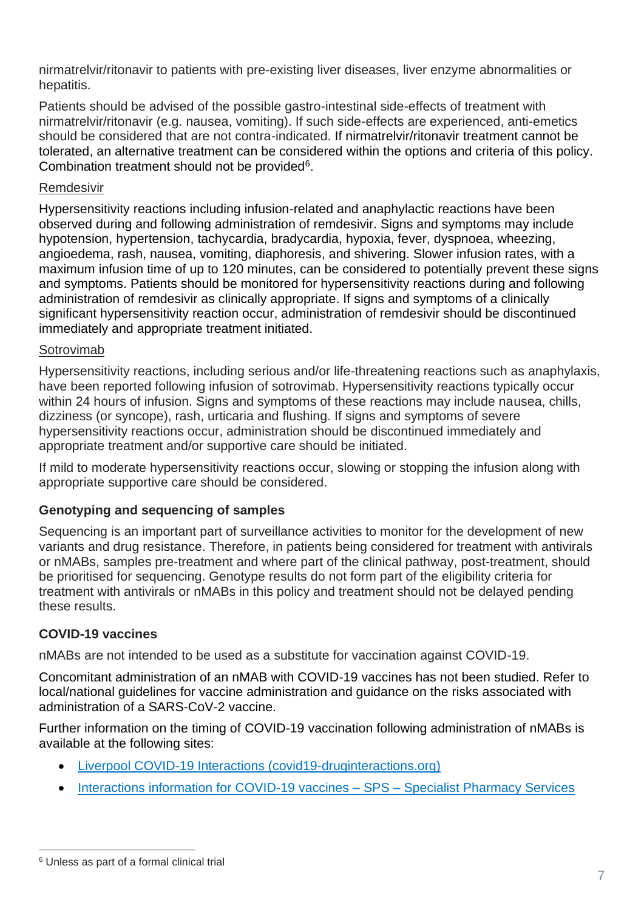nirmatrelvir/ritonavir to patients with pre-existing liver diseases, liver enzyme abnormalities or hepatitis.

Patients should be advised of the possible gastro-intestinal side-effects of treatment with nirmatrelvir/ritonavir (e.g. nausea, vomiting). If such side-effects are experienced, anti-emetics should be considered that are not contra-indicated. If nirmatrelvir/ritonavir treatment cannot be tolerated, an alternative treatment can be considered within the options and criteria of this policy. Combination treatment should not be provided $6$ .

#### Remdesivir

Hypersensitivity reactions including infusion-related and anaphylactic reactions have been observed during and following administration of remdesivir. Signs and symptoms may include hypotension, hypertension, tachycardia, bradycardia, hypoxia, fever, dyspnoea, wheezing, angioedema, rash, nausea, vomiting, diaphoresis, and shivering. Slower infusion rates, with a maximum infusion time of up to 120 minutes, can be considered to potentially prevent these signs and symptoms. Patients should be monitored for hypersensitivity reactions during and following administration of remdesivir as clinically appropriate. If signs and symptoms of a clinically significant hypersensitivity reaction occur, administration of remdesivir should be discontinued immediately and appropriate treatment initiated.

#### Sotrovimab

Hypersensitivity reactions, including serious and/or life-threatening reactions such as anaphylaxis, have been reported following infusion of sotrovimab. Hypersensitivity reactions typically occur within 24 hours of infusion. Signs and symptoms of these reactions may include nausea, chills, dizziness (or syncope), rash, urticaria and flushing. If signs and symptoms of severe hypersensitivity reactions occur, administration should be discontinued immediately and appropriate treatment and/or supportive care should be initiated.

If mild to moderate hypersensitivity reactions occur, slowing or stopping the infusion along with appropriate supportive care should be considered.

#### **Genotyping and sequencing of samples**

Sequencing is an important part of surveillance activities to monitor for the development of new variants and drug resistance. Therefore, in patients being considered for treatment with antivirals or nMABs, samples pre-treatment and where part of the clinical pathway, post-treatment, should be prioritised for sequencing. Genotype results do not form part of the eligibility criteria for treatment with antivirals or nMABs in this policy and treatment should not be delayed pending these results.

# **COVID-19 vaccines**

nMABs are not intended to be used as a substitute for vaccination against COVID-19.

Concomitant administration of an nMAB with COVID-19 vaccines has not been studied. Refer to local/national guidelines for vaccine administration and guidance on the risks associated with administration of a SARS-CoV-2 vaccine.

Further information on the timing of COVID-19 vaccination following administration of nMABs is available at the following sites:

- [Liverpool COVID-19 Interactions \(covid19-druginteractions.org\)](https://www.covid19-druginteractions.org/checker)
- [Interactions information for COVID-19 vaccines –](https://www.sps.nhs.uk/articles/interactions-information-for-covid-19-vaccines/) SPS Specialist Pharmacy Services

<sup>6</sup> Unless as part of a formal clinical trial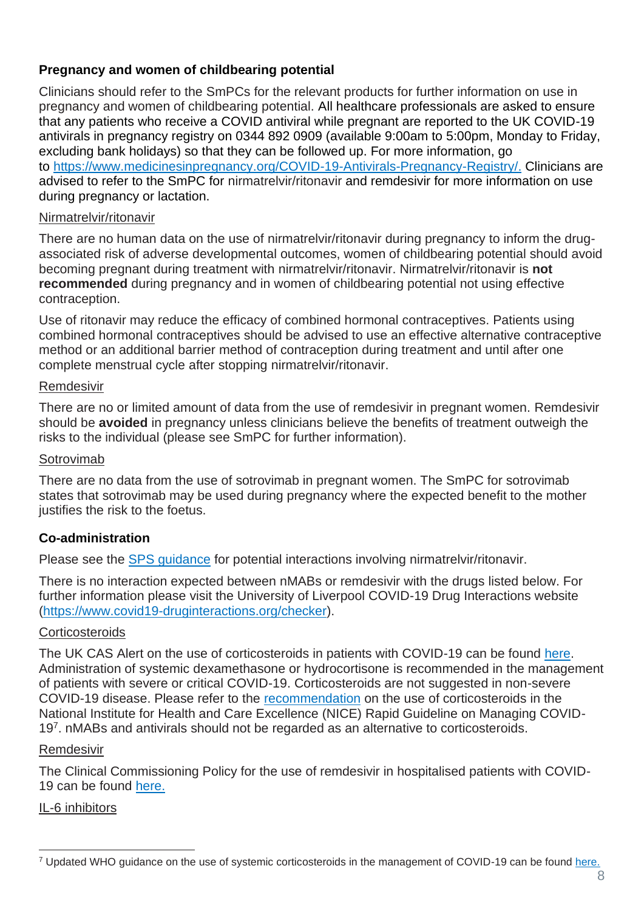## **Pregnancy and women of childbearing potential**

Clinicians should refer to the SmPCs for the relevant products for further information on use in pregnancy and women of childbearing potential. All healthcare professionals are asked to ensure that any patients who receive a COVID antiviral while pregnant are reported to the UK COVID-19 antivirals in pregnancy registry on 0344 892 0909 (available 9:00am to 5:00pm, Monday to Friday, excluding bank holidays) so that they can be followed up. For more information, go to <https://www.medicinesinpregnancy.org/COVID-19-Antivirals-Pregnancy-Registry/>[.](https://eur01.safelinks.protection.outlook.com/?url=http%3A%2F%2Fwww.uktis.org%2F&data=04%7C01%7CKatherine.Donegan%40mhra.gov.uk%7Cc0b4d99cb3a44187ab3008da1cc4441e%7Ce527ea5c62584cd2a27f8bd237ec4c26%7C0%7C0%7C637853926526930930%7CUnknown%7CTWFpbGZsb3d8eyJWIjoiMC4wLjAwMDAiLCJQIjoiV2luMzIiLCJBTiI6Ik1haWwiLCJXVCI6Mn0%3D%7C3000&sdata=kwlQsjQ2iMRP0A%2FT0a1c4RlDGDQFwWHCa8tRjlYFaG4%3D&reserved=0) Clinicians are advised to refer to the SmPC for nirmatrelvir/ritonavir and remdesivir for more information on use during pregnancy or lactation.

#### Nirmatrelvir/ritonavir

There are no human data on the use of nirmatrelvir/ritonavir during pregnancy to inform the drugassociated risk of adverse developmental outcomes, women of childbearing potential should avoid becoming pregnant during treatment with nirmatrelvir/ritonavir. Nirmatrelvir/ritonavir is **not recommended** during pregnancy and in women of childbearing potential not using effective contraception.

Use of ritonavir may reduce the efficacy of combined hormonal contraceptives. Patients using combined hormonal contraceptives should be advised to use an effective alternative contraceptive method or an additional barrier method of contraception during treatment and until after one complete menstrual cycle after stopping nirmatrelvir/ritonavir.

#### Remdesivir

There are no or limited amount of data from the use of remdesivir in pregnant women. Remdesivir should be **avoided** in pregnancy unless clinicians believe the benefits of treatment outweigh the risks to the individual (please see SmPC for further information).

#### Sotrovimab

There are no data from the use of sotrovimab in pregnant women. The SmPC for sotrovimab states that sotrovimab may be used during pregnancy where the expected benefit to the mother justifies the risk to the foetus.

#### **Co-administration**

Please see the [SPS guidance](https://www.sps.nhs.uk/home/guidance/covid-19-treatments/oral-antivirals/) for potential interactions involving nirmatrelvir/ritonavir.

There is no interaction expected between nMABs or remdesivir with the drugs listed below. For further information please visit the University of Liverpool COVID-19 Drug Interactions website [\(https://www.covid19-druginteractions.org/checker\)](https://www.covid19-druginteractions.org/checker).

#### **Corticosteroids**

The UK CAS Alert on the use of corticosteroids in patients with COVID-19 can be found [here.](https://www.cas.mhra.gov.uk/ViewandAcknowledgment/ViewAlert.aspx?AlertID=103092) Administration of systemic dexamethasone or hydrocortisone is recommended in the management of patients with severe or critical COVID-19. Corticosteroids are not suggested in non-severe COVID-19 disease. Please refer to the [recommendation](https://app.magicapp.org/#/guideline/L4Qb5n/section/n3e9gj) on the use of corticosteroids in the National Institute for Health and Care Excellence (NICE) Rapid Guideline on Managing COVID-19<sup>7</sup>. nMABs and antivirals should not be regarded as an alternative to corticosteroids.

#### Remdesivir

The Clinical Commissioning Policy for the use of remdesivir in hospitalised patients with COVID-19 can be found [here.](https://www.england.nhs.uk/coronavirus/publication/interim-clinical-commissioning-policy-remdesivir-for-patients-hospitalised-due-to-covid-19-adults-and-adolescents-12-years-and-older/)

#### IL-6 inhibitors

<sup>7</sup> Updated WHO guidance on the use of systemic corticosteroids in the management of COVID-19 can be found [here.](https://www.who.int/publications/i/item/WHO-2019-nCoV-therapeutics-2022.3)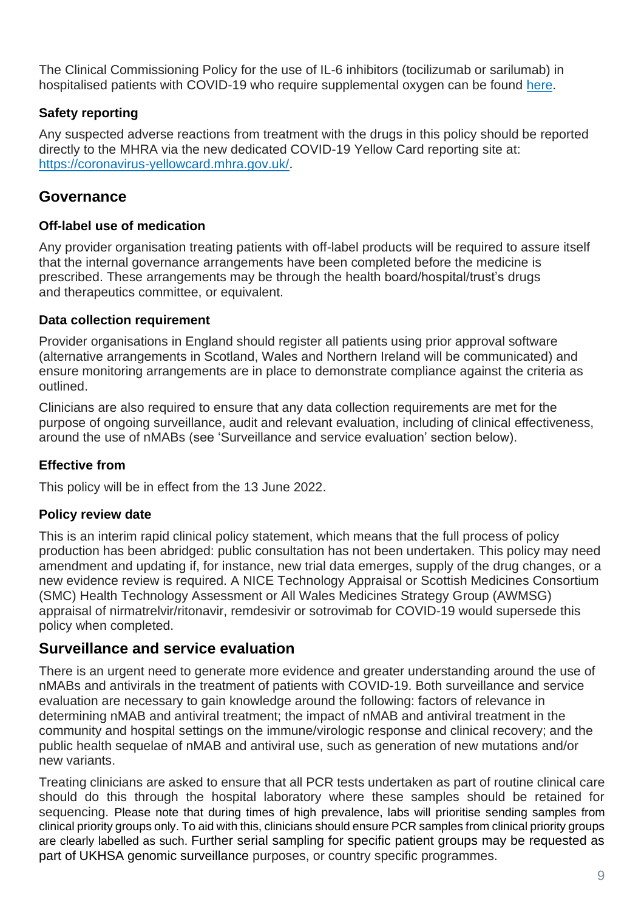The Clinical Commissioning Policy for the use of IL-6 inhibitors (tocilizumab or sarilumab) in hospitalised patients with COVID-19 who require supplemental oxygen can be found [here.](https://www.cas.mhra.gov.uk/ViewandAcknowledgment/ViewAttachment.aspx?Attachment_id=103833)

# **Safety reporting**

Any suspected adverse reactions from treatment with the drugs in this policy should be reported directly to the MHRA via the new dedicated COVID-19 Yellow Card reporting site at: [https://coronavirus-yellowcard.mhra.gov.uk/.](https://coronavirus-yellowcard.mhra.gov.uk/)

# **Governance**

#### **Off-label use of medication**

Any provider organisation treating patients with off-label products will be required to assure itself that the internal governance arrangements have been completed before the medicine is prescribed. These arrangements may be through the health board/hospital/trust's drugs and therapeutics committee, or equivalent.

### **Data collection requirement**

Provider organisations in England should register all patients using prior approval software (alternative arrangements in Scotland, Wales and Northern Ireland will be communicated) and ensure monitoring arrangements are in place to demonstrate compliance against the criteria as outlined.

Clinicians are also required to ensure that any data collection requirements are met for the purpose of ongoing surveillance, audit and relevant evaluation, including of clinical effectiveness, around the use of nMABs (see 'Surveillance and service evaluation' section below).

# **Effective from**

This policy will be in effect from the 13 June 2022.

# **Policy review date**

This is an interim rapid clinical policy statement, which means that the full process of policy production has been abridged: public consultation has not been undertaken. This policy may need amendment and updating if, for instance, new trial data emerges, supply of the drug changes, or a new evidence review is required. A NICE Technology Appraisal or Scottish Medicines Consortium (SMC) Health Technology Assessment or All Wales Medicines Strategy Group (AWMSG) appraisal of nirmatrelvir/ritonavir, remdesivir or sotrovimab for COVID-19 would supersede this policy when completed.

# **Surveillance and service evaluation**

There is an urgent need to generate more evidence and greater understanding around the use of nMABs and antivirals in the treatment of patients with COVID-19. Both surveillance and service evaluation are necessary to gain knowledge around the following: factors of relevance in determining nMAB and antiviral treatment; the impact of nMAB and antiviral treatment in the community and hospital settings on the immune/virologic response and clinical recovery; and the public health sequelae of nMAB and antiviral use, such as generation of new mutations and/or new variants.

Treating clinicians are asked to ensure that all PCR tests undertaken as part of routine clinical care should do this through the hospital laboratory where these samples should be retained for sequencing. Please note that during times of high prevalence, labs will prioritise sending samples from clinical priority groups only. To aid with this, clinicians should ensure PCR samples from clinical priority groups are clearly labelled as such. Further serial sampling for specific patient groups may be requested as part of UKHSA genomic surveillance purposes, or country specific programmes.